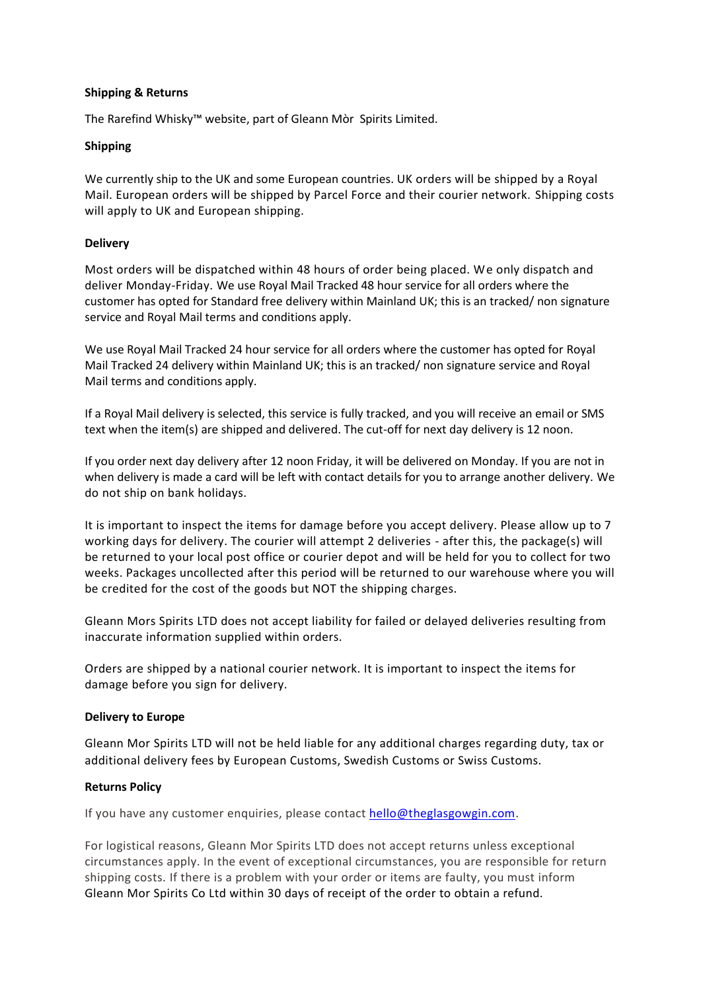## **Shipping & Returns**

The Rarefind Whisky™ website, part of Gleann Mòr Spirits Limited.

# **Shipping**

We currently ship to the UK and some European countries. UK orders will be shipped by a Royal Mail. European orders will be shipped by Parcel Force and their courier network. Shipping costs will apply to UK and European shipping.

# **Delivery**

Most orders will be dispatched within 48 hours of order being placed. We only dispatch and deliver Monday-Friday. We use Royal Mail Tracked 48 hour service for all orders where the customer has opted for Standard free delivery within Mainland UK; this is an tracked/ non signature service and Royal Mail terms and conditions apply.

We use Royal Mail Tracked 24 hour service for all orders where the customer has opted for Royal Mail Tracked 24 delivery within Mainland UK; this is an tracked/ non signature service and Royal Mail terms and conditions apply.

If a Royal Mail delivery is selected, this service is fully tracked, and you will receive an email or SMS text when the item(s) are shipped and delivered. The cut-off for next day delivery is 12 noon.

If you order next day delivery after 12 noon Friday, it will be delivered on Monday. If you are not in when delivery is made a card will be left with contact details for you to arrange another delivery. We do not ship on bank holidays.

It is important to inspect the items for damage before you accept delivery. Please allow up to 7 working days for delivery. The courier will attempt 2 deliveries - after this, the package(s) will be returned to your local post office or courier depot and will be held for you to collect for two weeks. Packages uncollected after this period will be returned to our warehouse where you will be credited for the cost of the goods but NOT the shipping charges.

Gleann Mors Spirits LTD does not accept liability for failed or delayed deliveries resulting from inaccurate information supplied within orders.

Orders are shipped by a national courier network. It is important to inspect the items for damage before you sign for delivery.

## **Delivery to Europe**

Gleann Mor Spirits LTD will not be held liable for any additional charges regarding duty, tax or additional delivery fees by European Customs, Swedish Customs or Swiss Customs.

## **Returns Policy**

If you have any customer enquiries, please contact [hello@theglasgowgin.com.](mailto:hello@theglasgowgin.com)

For logistical reasons, Gleann Mor Spirits LTD does not accept returns unless exceptional circumstances apply. In the event of exceptional circumstances, you are responsible for return shipping costs. If there is a problem with your order or items are faulty, you must inform Gleann Mor Spirits Co Ltd within 30 days of receipt of the order to obtain a refund.